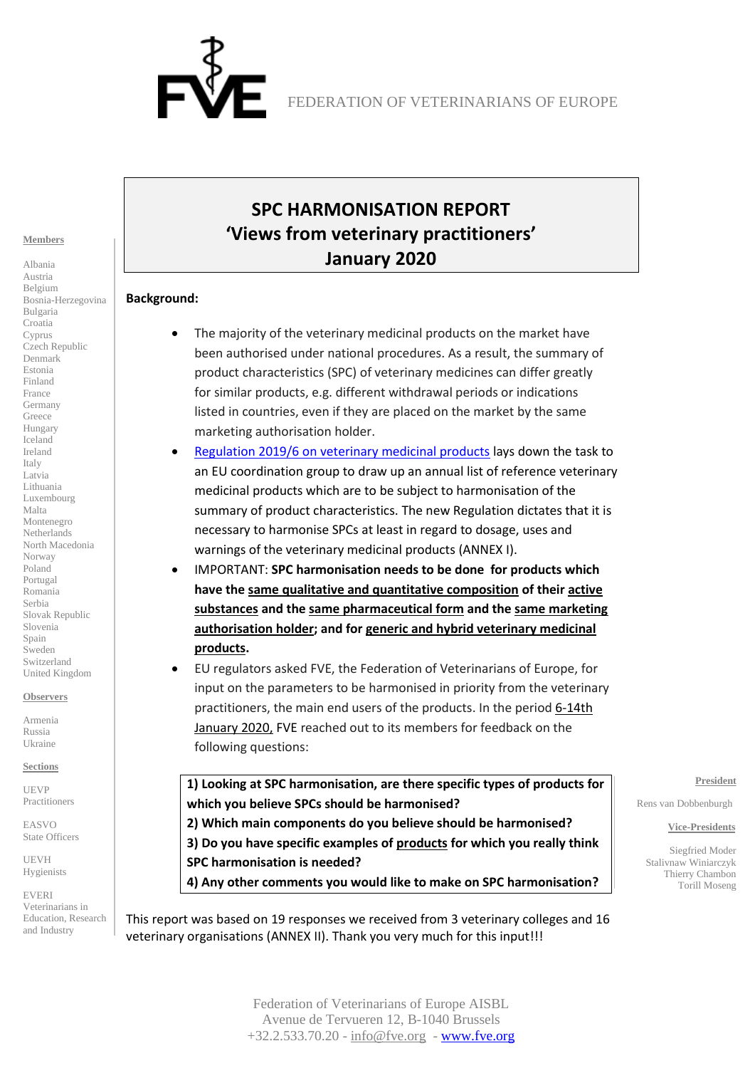

#### **Members**

Albania Austria Belgium Bosnia-Herzegovina Bulgaria Croatia Cyprus Czech Republic Denmark Estonia Finland France Germany Greece Hungary Iceland Ireland Italy Latvia Lithuania Luxembourg Malta Montenegro Netherlands North Macedonia Norway Poland Portugal Romania Serbia Slovak Republic Slovenia Spain Sweden Switzerland United Kingdom

#### **Observers**

Armenia Russia Ukraine

**Sections**

UEVP Practitioners

EASVO State Officers

UEVH Hygienists

EVERI Veterinarians in Education, Research and Industry

# **SPC HARMONISATION REPORT 'Views from veterinary practitioners' January 2020**

#### **Background:**

- The majority of the veterinary medicinal products on the market have been authorised under national procedures. As a result, the summary of product characteristics (SPC) of veterinary medicines can differ greatly for similar products, e.g. different withdrawal periods or indications listed in countries, even if they are placed on the market by the same marketing authorisation holder.
- [Regulation 2019/6 on veterinary medicinal products](https://eur-lex.europa.eu/eli/reg/2019/6/oj) lays down the task to an EU coordination group to draw up an annual list of reference veterinary medicinal products which are to be subject to harmonisation of the summary of product characteristics. The new Regulation dictates that it is necessary to harmonise SPCs at least in regard to dosage, uses and warnings of the veterinary medicinal products (ANNEX I).
- IMPORTANT: **SPC harmonisation needs to be done for products which have the same qualitative and quantitative composition of their active substances and the same pharmaceutical form and the same marketing authorisation holder; and for generic and hybrid veterinary medicinal products.**
- EU regulators asked FVE, the Federation of Veterinarians of Europe, for input on the parameters to be harmonised in priority from the veterinary practitioners, the main end users of the products. In the period 6-14th January 2020, FVE reached out to its members for feedback on the following questions:

**1) Looking at SPC harmonisation, are there specific types of products for which you believe SPCs should be harmonised?**

**2) Which main components do you believe should be harmonised? 3) Do you have specific examples of products for which you really think SPC harmonisation is needed?**

**4) Any other comments you would like to make on SPC harmonisation?**

This report was based on 19 responses we received from 3 veterinary colleges and 16 veterinary organisations (ANNEX II). Thank you very much for this input!!!

**President**

Rens van Dobbenburgh

#### **Vice-Presidents**

 Siegfried Moder Stalivnaw Winiarczyk Thierry Chambon Torill Moseng

Federation of Veterinarians of Europe AISBL Avenue de Tervueren 12, B-1040 Brussels +32.2.533.70.20 - [info@fve.org](mailto:info@fve.org) - [www.fve.org](http://www.fve.org/)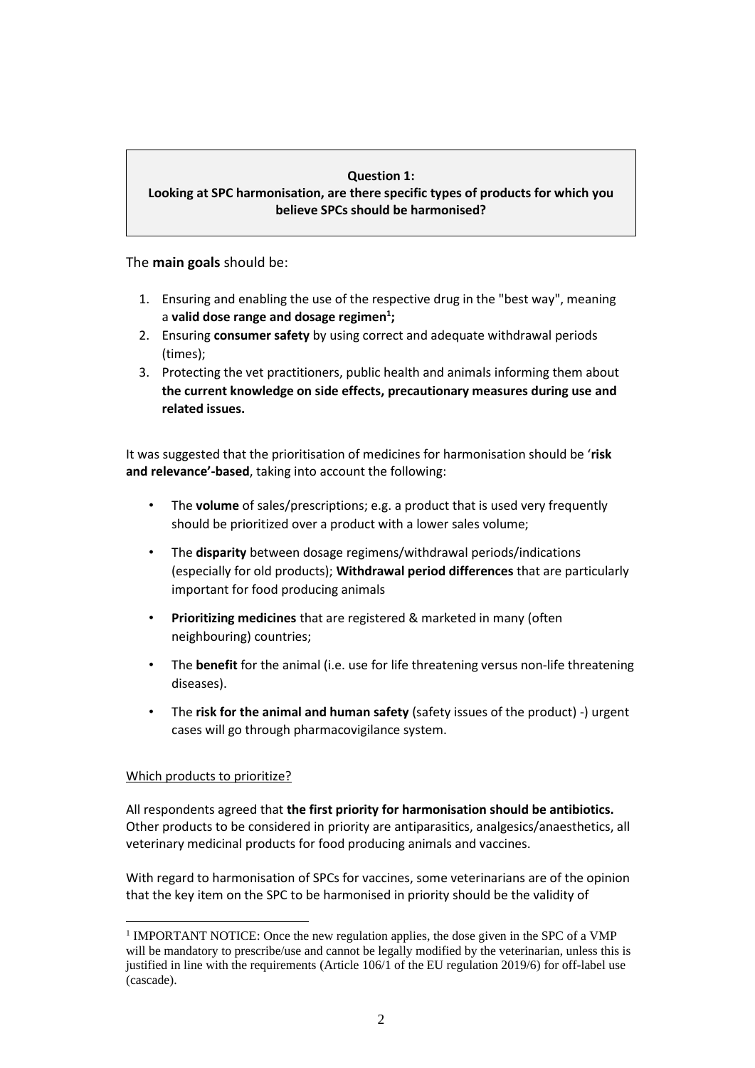#### **Question 1: Looking at SPC harmonisation, are there specific types of products for which you believe SPCs should be harmonised?**

The **main goals** should be:

- 1. Ensuring and enabling the use of the respective drug in the "best way", meaning a **valid dose range and dosage regimen<sup>1</sup> ;**
- 2. Ensuring **consumer safety** by using correct and adequate withdrawal periods (times);
- 3. Protecting the vet practitioners, public health and animals informing them about **the current knowledge on side effects, precautionary measures during use and related issues.**

It was suggested that the prioritisation of medicines for harmonisation should be '**risk and relevance'-based**, taking into account the following:

- The **volume** of sales/prescriptions; e.g. a product that is used very frequently should be prioritized over a product with a lower sales volume;
- The **disparity** between dosage regimens/withdrawal periods/indications (especially for old products); **Withdrawal period differences** that are particularly important for food producing animals
- **Prioritizing medicines** that are registered & marketed in many (often neighbouring) countries;
- The **benefit** for the animal (i.e. use for life threatening versus non-life threatening diseases).
- The **risk for the animal and human safety** (safety issues of the product) -) urgent cases will go through pharmacovigilance system.

# Which products to prioritize?

All respondents agreed that **the first priority for harmonisation should be antibiotics.** Other products to be considered in priority are antiparasitics, analgesics/anaesthetics, all veterinary medicinal products for food producing animals and vaccines.

With regard to harmonisation of SPCs for vaccines, some veterinarians are of the opinion that the key item on the SPC to be harmonised in priority should be the validity of

<sup>&</sup>lt;sup>1</sup> IMPORTANT NOTICE: Once the new regulation applies, the dose given in the SPC of a VMP will be mandatory to prescribe/use and cannot be legally modified by the veterinarian, unless this is justified in line with the requirements (Article 106/1 of the EU regulation 2019/6) for off-label use (cascade).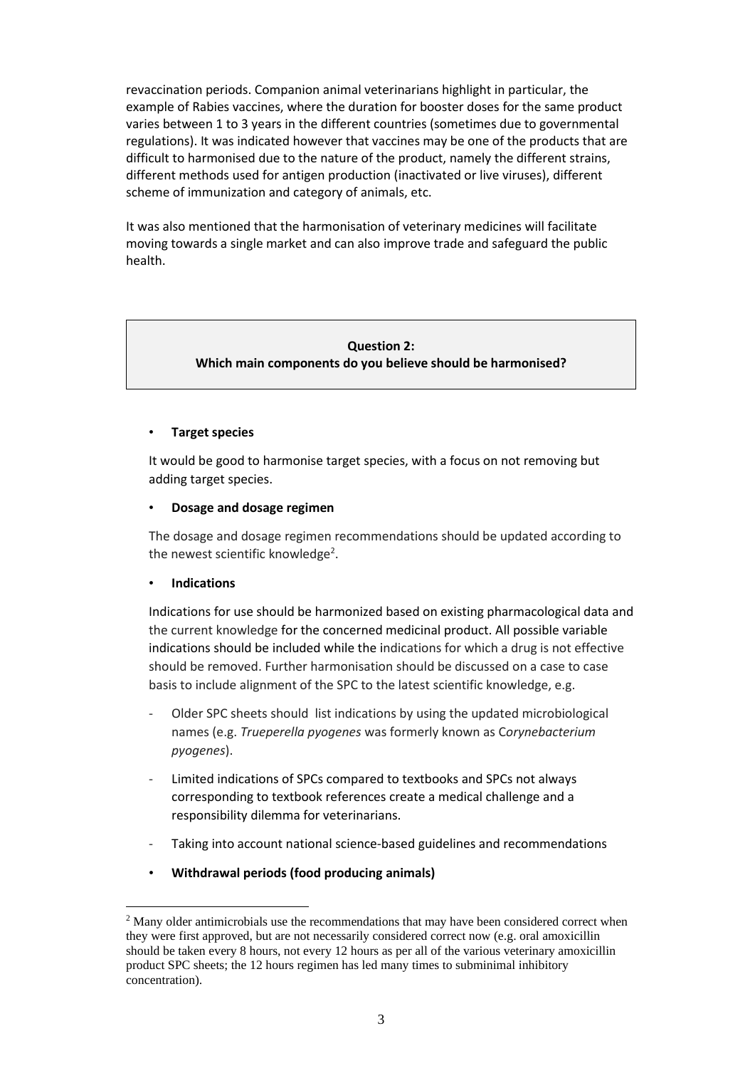revaccination periods. Companion animal veterinarians highlight in particular, the example of Rabies vaccines, where the duration for booster doses for the same product varies between 1 to 3 years in the different countries (sometimes due to governmental regulations). It was indicated however that vaccines may be one of the products that are difficult to harmonised due to the nature of the product, namely the different strains, different methods used for antigen production (inactivated or live viruses), different scheme of immunization and category of animals, etc.

It was also mentioned that the harmonisation of veterinary medicines will facilitate moving towards a single market and can also improve trade and safeguard the public health.

# **Question 2: Which main components do you believe should be harmonised?**

# • **Target species**

It would be good to harmonise target species, with a focus on not removing but adding target species.

### • **Dosage and dosage regimen**

The dosage and dosage regimen recommendations should be updated according to the newest scientific knowledge<sup>2</sup>.

### • **Indications**

Indications for use should be harmonized based on existing pharmacological data and the current knowledge for the concerned medicinal product. All possible variable indications should be included while the indications for which a drug is not effective should be removed. Further harmonisation should be discussed on a case to case basis to include alignment of the SPC to the latest scientific knowledge, e.g.

- Older SPC sheets should list indications by using the updated microbiological names (e.g. *Trueperella pyogenes* was formerly known as C*orynebacterium pyogenes*).
- Limited indications of SPCs compared to textbooks and SPCs not always corresponding to textbook references create a medical challenge and a responsibility dilemma for veterinarians.
- Taking into account national science-based guidelines and recommendations
- **Withdrawal periods (food producing animals)**

<sup>&</sup>lt;sup>2</sup> Many older antimicrobials use the recommendations that may have been considered correct when they were first approved, but are not necessarily considered correct now (e.g. oral amoxicillin should be taken every 8 hours, not every 12 hours as per all of the various veterinary amoxicillin product SPC sheets; the 12 hours regimen has led many times to subminimal inhibitory concentration).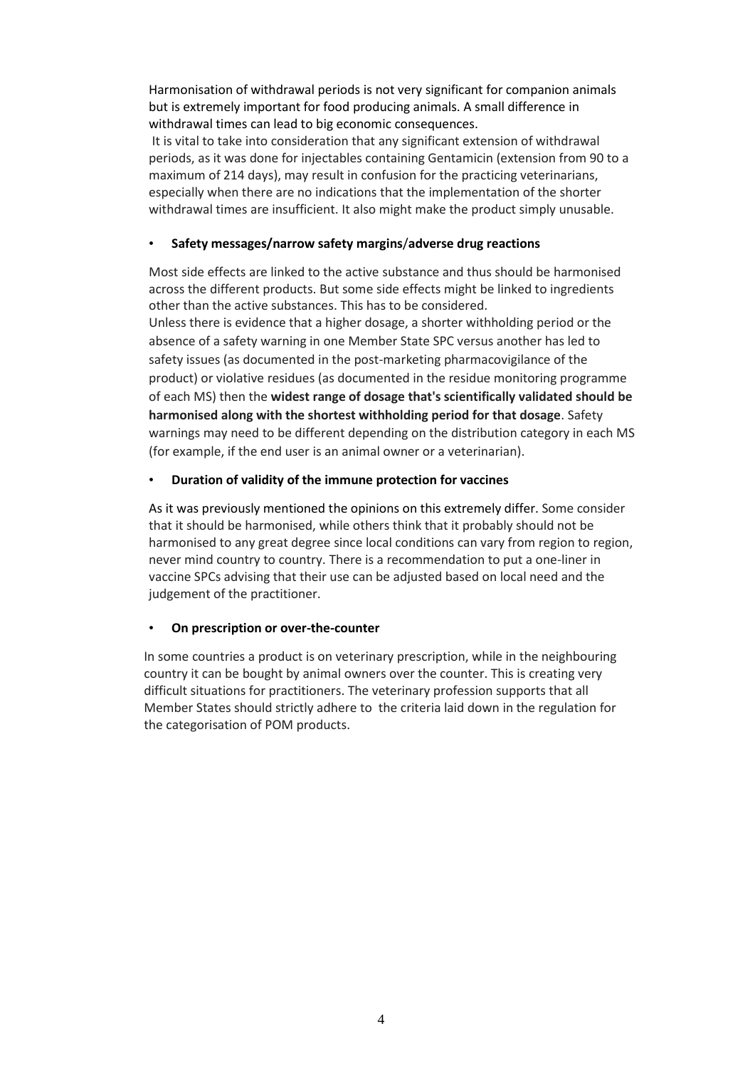Harmonisation of withdrawal periods is not very significant for companion animals but is extremely important for food producing animals. A small difference in withdrawal times can lead to big economic consequences.

It is vital to take into consideration that any significant extension of withdrawal periods, as it was done for injectables containing Gentamicin (extension from 90 to a maximum of 214 days), may result in confusion for the practicing veterinarians, especially when there are no indications that the implementation of the shorter withdrawal times are insufficient. It also might make the product simply unusable.

# • **Safety messages/narrow safety margins**/**adverse drug reactions**

Most side effects are linked to the active substance and thus should be harmonised across the different products. But some side effects might be linked to ingredients other than the active substances. This has to be considered.

Unless there is evidence that a higher dosage, a shorter withholding period or the absence of a safety warning in one Member State SPC versus another has led to safety issues (as documented in the post-marketing pharmacovigilance of the product) or violative residues (as documented in the residue monitoring programme of each MS) then the **widest range of dosage that's scientifically validated should be harmonised along with the shortest withholding period for that dosage**. Safety warnings may need to be different depending on the distribution category in each MS (for example, if the end user is an animal owner or a veterinarian).

# • **Duration of validity of the immune protection for vaccines**

As it was previously mentioned the opinions on this extremely differ. Some consider that it should be harmonised, while others think that it probably should not be harmonised to any great degree since local conditions can vary from region to region, never mind country to country. There is a recommendation to put a one-liner in vaccine SPCs advising that their use can be adjusted based on local need and the judgement of the practitioner.

### • **On prescription or over-the-counter**

In some countries a product is on veterinary prescription, while in the neighbouring country it can be bought by animal owners over the counter. This is creating very difficult situations for practitioners. The veterinary profession supports that all Member States should strictly adhere to the criteria laid down in the regulation for the categorisation of POM products.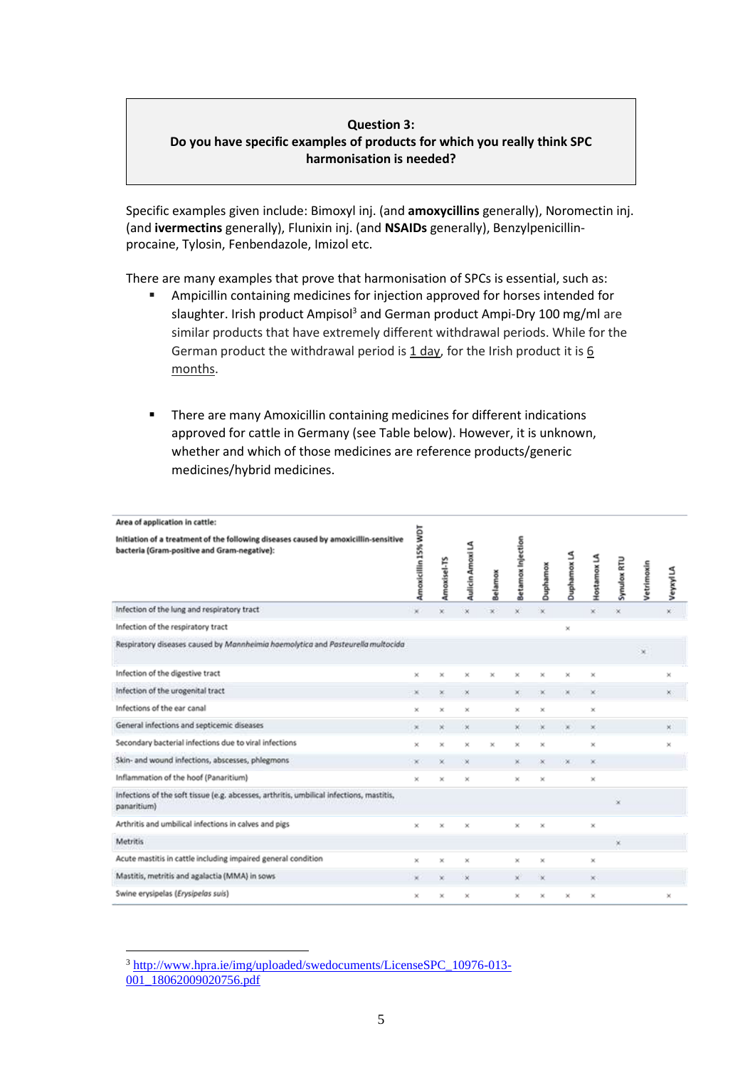### **Question 3: Do you have specific examples of products for which you really think SPC harmonisation is needed?**

Specific examples given include: Bimoxyl inj. (and **amoxycillins** generally), Noromectin inj. (and **ivermectins** generally), Flunixin inj. (and **NSAIDs** generally), Benzylpenicillinprocaine, Tylosin, Fenbendazole, Imizol etc.

There are many examples that prove that harmonisation of SPCs is essential, such as:

- Ampicillin containing medicines for injection approved for horses intended for slaughter. Irish product Ampisol<sup>3</sup> and German product Ampi-Dry 100 mg/ml are similar products that have extremely different withdrawal periods. While for the German product the withdrawal period is 1 day, for the Irish product it is 6 months.
- There are many Amoxicillin containing medicines for different indications approved for cattle in Germany (see Table below). However, it is unknown, whether and which of those medicines are reference products/generic medicines/hybrid medicines.

| Area of application in cattle:                                                                                                     |                     |             |                  |                |                   |           |          |                      |             |            |          |
|------------------------------------------------------------------------------------------------------------------------------------|---------------------|-------------|------------------|----------------|-------------------|-----------|----------|----------------------|-------------|------------|----------|
| Initiation of a treatment of the following diseases caused by amoxicillin-sensitive<br>bacteria (Gram-positive and Gram-negative): | Amoxicillin 15% WDT | Amoxisel-TS | Aulicin Amoxi LA | <b>Belamox</b> | Betamox Injection | Duphamox  | Duphamox | 3<br><b>Hostamox</b> | Synulox RTU | Vetrimoxin | VeyxylLA |
| Infection of the lung and respiratory tract                                                                                        | ×                   |             |                  |                | ü                 |           |          | ×                    | ×           |            | x)       |
| Infection of the respiratory tract                                                                                                 |                     |             |                  |                |                   |           | ×        |                      |             |            |          |
| Respiratory diseases caused by Mannheimia haemolytica and Pasteurella multocida                                                    |                     |             |                  |                |                   |           |          |                      |             | $\times$   |          |
| Infection of the digestive tract                                                                                                   | ×                   | ×           | ×                | ×              | ×                 | ×         |          | ×                    |             |            | ×        |
| Infection of the urogenital tract                                                                                                  | ×                   | ×           | ×                |                | ×                 | $\propto$ | ×        | ×                    |             |            | ×        |
| Infections of the ear canal                                                                                                        | ×                   | ×           | ×                |                | ×                 | ×         |          | ×                    |             |            |          |
| General infections and septicemic diseases                                                                                         | ×                   | ×           | $^{\circ}$       |                | ×                 | ×         |          | ×                    |             |            | ×        |
| Secondary bacterial infections due to viral infections                                                                             | ×                   | ×           | ×                | ×              | ×                 | ×         |          | ×                    |             |            | ×        |
| Skin- and wound infections, abscesses, phlegmons                                                                                   | ×                   | ×           | ×                |                | ×                 | ×         | ×        | ×                    |             |            |          |
| Inflammation of the hoof (Panaritium)                                                                                              | ×                   | ×           | ×                |                | ×                 | ×         |          | $\times$             |             |            |          |
| Infections of the soft tissue (e.g. abcesses, arthritis, umbilical infections, mastitis,<br>panaritium)                            |                     |             |                  |                |                   |           |          |                      | ×           |            |          |
| Arthritis and umbilical infections in calves and pigs                                                                              | $\mathbf{x}$        | ×           |                  |                | ×                 | $\times$  |          | $\times$             |             |            |          |
| <b>Metritis</b>                                                                                                                    |                     |             |                  |                |                   |           |          |                      | ×           |            |          |
| Acute mastitis in cattle including impaired general condition                                                                      | ×                   | ×           | ×                |                | ×                 | ×         |          | $\times$             |             |            |          |
| Mastitis, metritis and agalactia (MMA) in sows                                                                                     | ×                   | ×           | ×                |                | ×                 | ×         |          | ×                    |             |            |          |
| Swine erysipelas (Erysipelas suis)                                                                                                 | ×                   | ×           | ×                |                | ×                 | ×         | ×        | ×                    |             |            | ×        |

<sup>3</sup> [http://www.hpra.ie/img/uploaded/swedocuments/LicenseSPC\\_10976-013-](http://www.hpra.ie/img/uploaded/swedocuments/LicenseSPC_10976-013-001_18062009020756.pdf)

<sup>001&</sup>lt;sup>18062009020756.pdf</sup>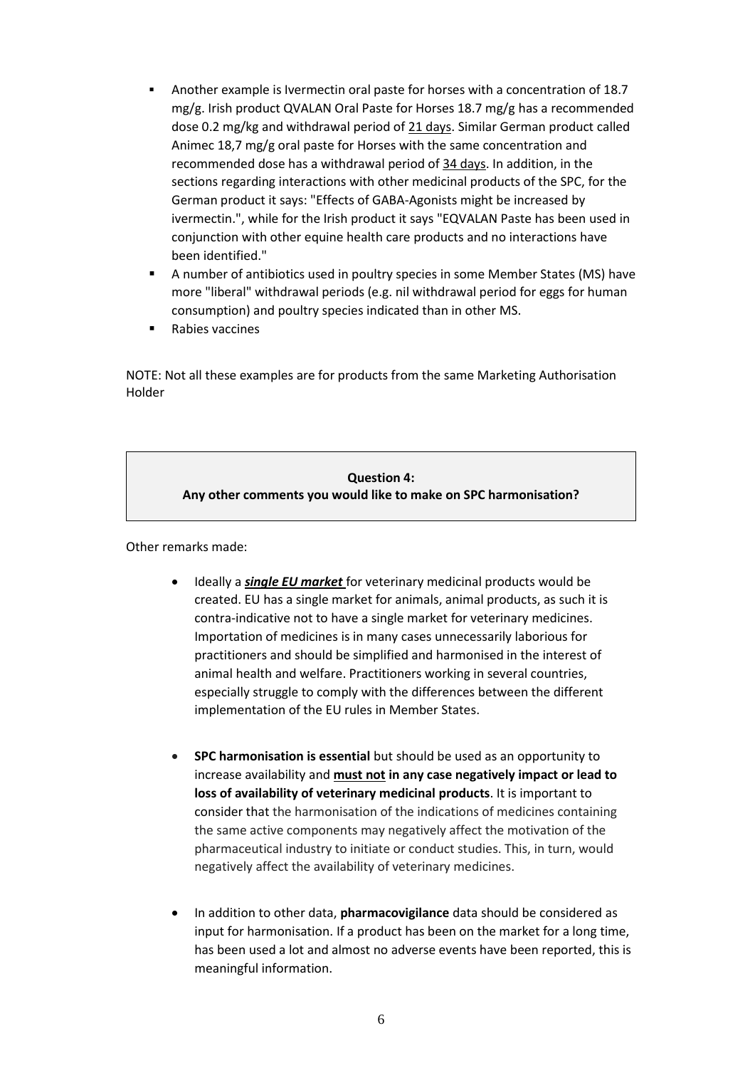- Another example is Ivermectin oral paste for horses with a concentration of 18.7 mg/g. Irish product QVALAN Oral Paste for Horses 18.7 mg/g has a recommended dose 0.2 mg/kg and withdrawal period of 21 days. Similar German product called Animec 18,7 mg/g oral paste for Horses with the same concentration and recommended dose has a withdrawal period of 34 days. In addition, in the sections regarding interactions with other medicinal products of the SPC, for the German product it says: "Effects of GABA-Agonists might be increased by ivermectin.", while for the Irish product it says "EQVALAN Paste has been used in conjunction with other equine health care products and no interactions have been identified."
- A number of antibiotics used in poultry species in some Member States (MS) have more "liberal" withdrawal periods (e.g. nil withdrawal period for eggs for human consumption) and poultry species indicated than in other MS.
- Rabies vaccines

NOTE: Not all these examples are for products from the same Marketing Authorisation Holder

# **Question 4: Any other comments you would like to make on SPC harmonisation?**

Other remarks made:

- Ideally a *single EU market* for veterinary medicinal products would be created. EU has a single market for animals, animal products, as such it is contra-indicative not to have a single market for veterinary medicines. Importation of medicines is in many cases unnecessarily laborious for practitioners and should be simplified and harmonised in the interest of animal health and welfare. Practitioners working in several countries, especially struggle to comply with the differences between the different implementation of the EU rules in Member States.
- **SPC harmonisation is essential** but should be used as an opportunity to increase availability and **must not in any case negatively impact or lead to loss of availability of veterinary medicinal products**. It is important to consider that the harmonisation of the indications of medicines containing the same active components may negatively affect the motivation of the pharmaceutical industry to initiate or conduct studies. This, in turn, would negatively affect the availability of veterinary medicines.
- In addition to other data, **pharmacovigilance** data should be considered as input for harmonisation. If a product has been on the market for a long time, has been used a lot and almost no adverse events have been reported, this is meaningful information.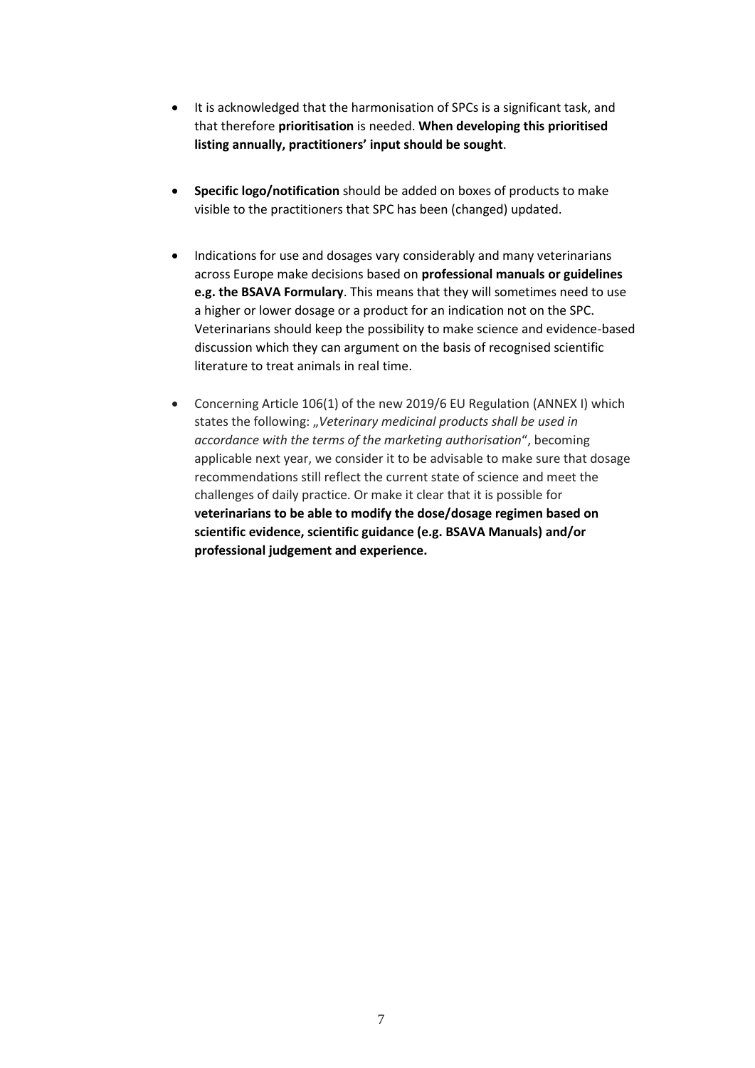- It is acknowledged that the harmonisation of SPCs is a significant task, and that therefore **prioritisation** is needed. **When developing this prioritised listing annually, practitioners' input should be sought**.
- **Specific logo/notification** should be added on boxes of products to make visible to the practitioners that SPC has been (changed) updated.
- Indications for use and dosages vary considerably and many veterinarians across Europe make decisions based on **professional manuals or guidelines e.g. the BSAVA Formulary**. This means that they will sometimes need to use a higher or lower dosage or a product for an indication not on the SPC. Veterinarians should keep the possibility to make science and evidence-based discussion which they can argument on the basis of recognised scientific literature to treat animals in real time.
- Concerning Article 106(1) of the new 2019/6 EU Regulation (ANNEX I) which states the following: "Veterinary medicinal products shall be used in *accordance with the terms of the marketing authorisation*", becoming applicable next year, we consider it to be advisable to make sure that dosage recommendations still reflect the current state of science and meet the challenges of daily practice. Or make it clear that it is possible for **veterinarians to be able to modify the dose/dosage regimen based on scientific evidence, scientific guidance (e.g. BSAVA Manuals) and/or professional judgement and experience.**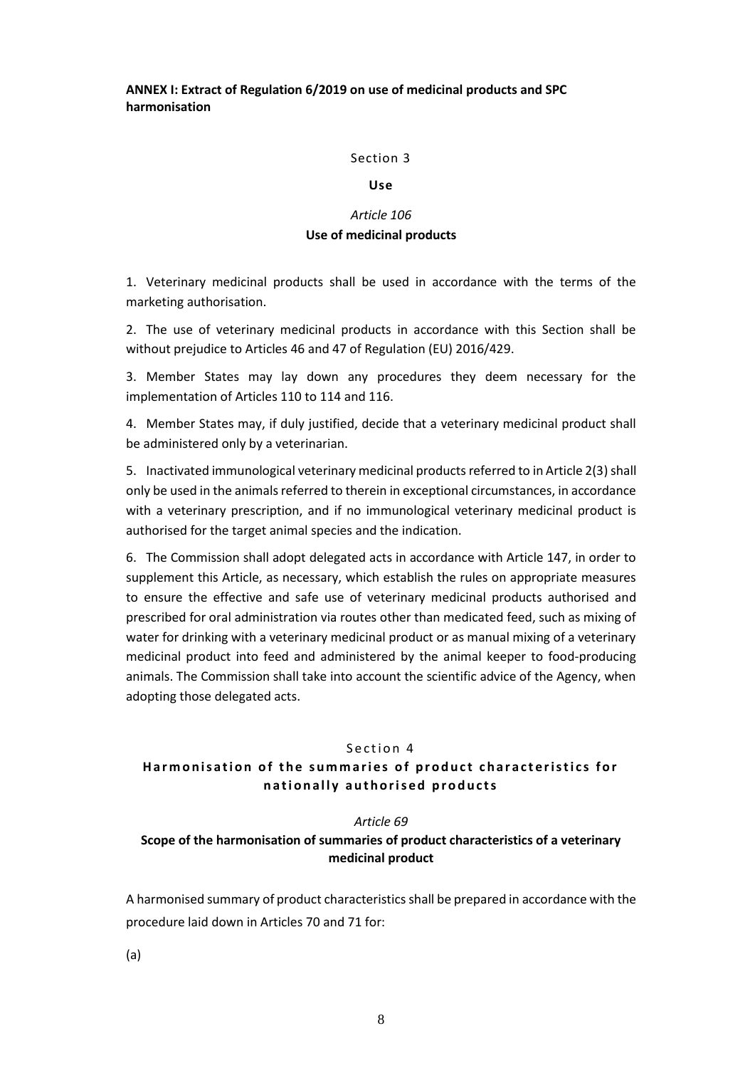**ANNEX I: Extract of Regulation 6/2019 on use of medicinal products and SPC harmonisation**

#### Section 3

#### **Use**

# *Article 106* **Use of medicinal products**

1. Veterinary medicinal products shall be used in accordance with the terms of the marketing authorisation.

2. The use of veterinary medicinal products in accordance with this Section shall be without prejudice to Articles 46 and 47 of Regulation (EU) 2016/429.

3. Member States may lay down any procedures they deem necessary for the implementation of Articles 110 to 114 and 116.

4. Member States may, if duly justified, decide that a veterinary medicinal product shall be administered only by a veterinarian.

5. Inactivated immunological veterinary medicinal products referred to in Article 2(3) shall only be used in the animals referred to therein in exceptional circumstances, in accordance with a veterinary prescription, and if no immunological veterinary medicinal product is authorised for the target animal species and the indication.

6. The Commission shall adopt delegated acts in accordance with Article 147, in order to supplement this Article, as necessary, which establish the rules on appropriate measures to ensure the effective and safe use of veterinary medicinal products authorised and prescribed for oral administration via routes other than medicated feed, such as mixing of water for drinking with a veterinary medicinal product or as manual mixing of a veterinary medicinal product into feed and administered by the animal keeper to food-producing animals. The Commission shall take into account the scientific advice of the Agency, when adopting those delegated acts.

#### Section 4

# Harmonisation of the summaries of product characteristics for **n a t i o n a l l y a u t h o r i s e d p r o d u c t s**

#### *Article 69*

# **Scope of the harmonisation of summaries of product characteristics of a veterinary medicinal product**

A harmonised summary of product characteristics shall be prepared in accordance with the procedure laid down in Articles 70 and 71 for:

(a)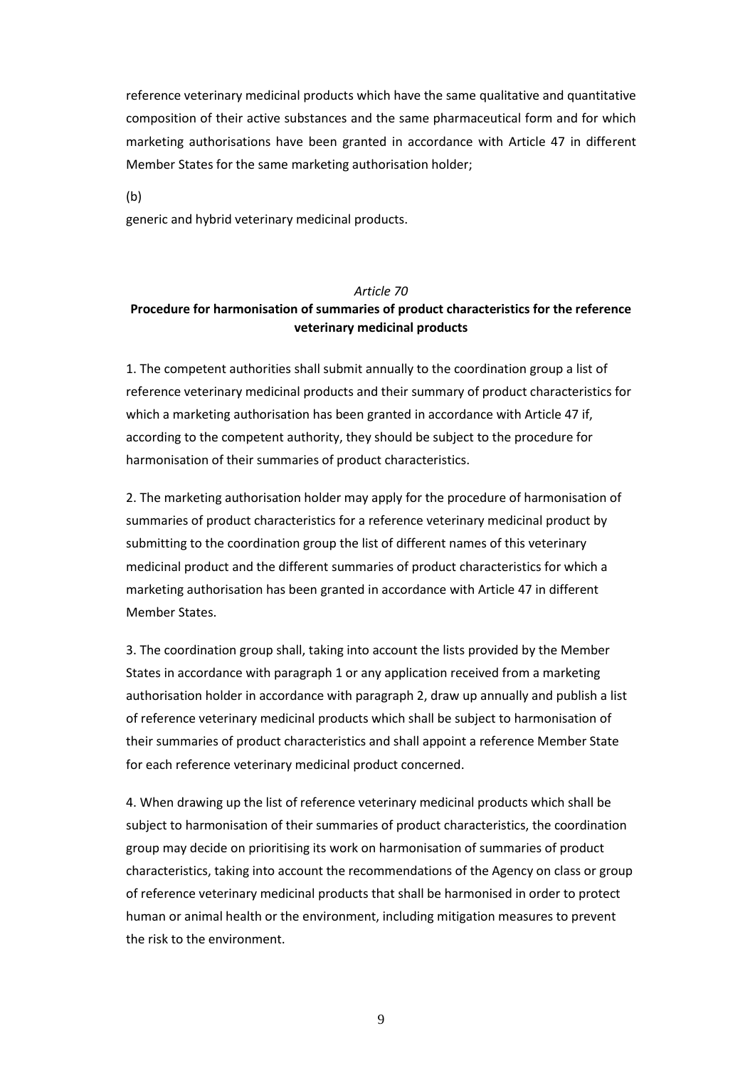reference veterinary medicinal products which have the same qualitative and quantitative composition of their active substances and the same pharmaceutical form and for which marketing authorisations have been granted in accordance with Article 47 in different Member States for the same marketing authorisation holder;

(b)

generic and hybrid veterinary medicinal products.

# *Article 70* **Procedure for harmonisation of summaries of product characteristics for the reference veterinary medicinal products**

1. The competent authorities shall submit annually to the coordination group a list of reference veterinary medicinal products and their summary of product characteristics for which a marketing authorisation has been granted in accordance with Article 47 if, according to the competent authority, they should be subject to the procedure for harmonisation of their summaries of product characteristics.

2. The marketing authorisation holder may apply for the procedure of harmonisation of summaries of product characteristics for a reference veterinary medicinal product by submitting to the coordination group the list of different names of this veterinary medicinal product and the different summaries of product characteristics for which a marketing authorisation has been granted in accordance with Article 47 in different Member States.

3. The coordination group shall, taking into account the lists provided by the Member States in accordance with paragraph 1 or any application received from a marketing authorisation holder in accordance with paragraph 2, draw up annually and publish a list of reference veterinary medicinal products which shall be subject to harmonisation of their summaries of product characteristics and shall appoint a reference Member State for each reference veterinary medicinal product concerned.

4. When drawing up the list of reference veterinary medicinal products which shall be subject to harmonisation of their summaries of product characteristics, the coordination group may decide on prioritising its work on harmonisation of summaries of product characteristics, taking into account the recommendations of the Agency on class or group of reference veterinary medicinal products that shall be harmonised in order to protect human or animal health or the environment, including mitigation measures to prevent the risk to the environment.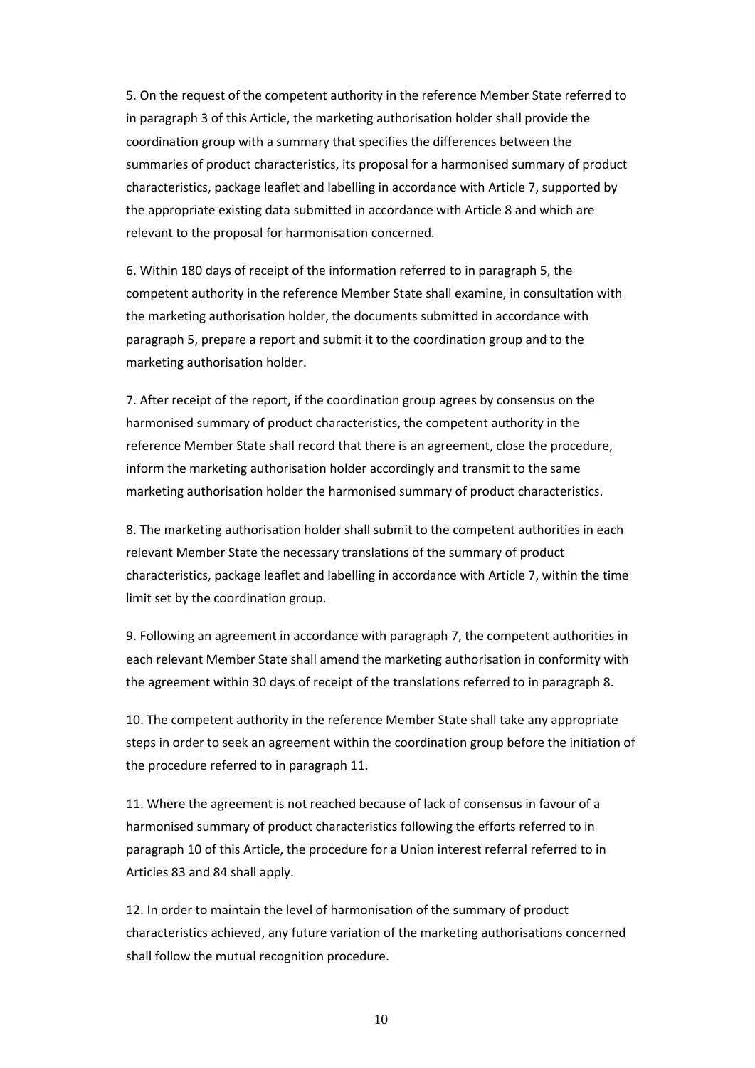5. On the request of the competent authority in the reference Member State referred to in paragraph 3 of this Article, the marketing authorisation holder shall provide the coordination group with a summary that specifies the differences between the summaries of product characteristics, its proposal for a harmonised summary of product characteristics, package leaflet and labelling in accordance with Article 7, supported by the appropriate existing data submitted in accordance with Article 8 and which are relevant to the proposal for harmonisation concerned.

6. Within 180 days of receipt of the information referred to in paragraph 5, the competent authority in the reference Member State shall examine, in consultation with the marketing authorisation holder, the documents submitted in accordance with paragraph 5, prepare a report and submit it to the coordination group and to the marketing authorisation holder.

7. After receipt of the report, if the coordination group agrees by consensus on the harmonised summary of product characteristics, the competent authority in the reference Member State shall record that there is an agreement, close the procedure, inform the marketing authorisation holder accordingly and transmit to the same marketing authorisation holder the harmonised summary of product characteristics.

8. The marketing authorisation holder shall submit to the competent authorities in each relevant Member State the necessary translations of the summary of product characteristics, package leaflet and labelling in accordance with Article 7, within the time limit set by the coordination group.

9. Following an agreement in accordance with paragraph 7, the competent authorities in each relevant Member State shall amend the marketing authorisation in conformity with the agreement within 30 days of receipt of the translations referred to in paragraph 8.

10. The competent authority in the reference Member State shall take any appropriate steps in order to seek an agreement within the coordination group before the initiation of the procedure referred to in paragraph 11.

11. Where the agreement is not reached because of lack of consensus in favour of a harmonised summary of product characteristics following the efforts referred to in paragraph 10 of this Article, the procedure for a Union interest referral referred to in Articles 83 and 84 shall apply.

12. In order to maintain the level of harmonisation of the summary of product characteristics achieved, any future variation of the marketing authorisations concerned shall follow the mutual recognition procedure.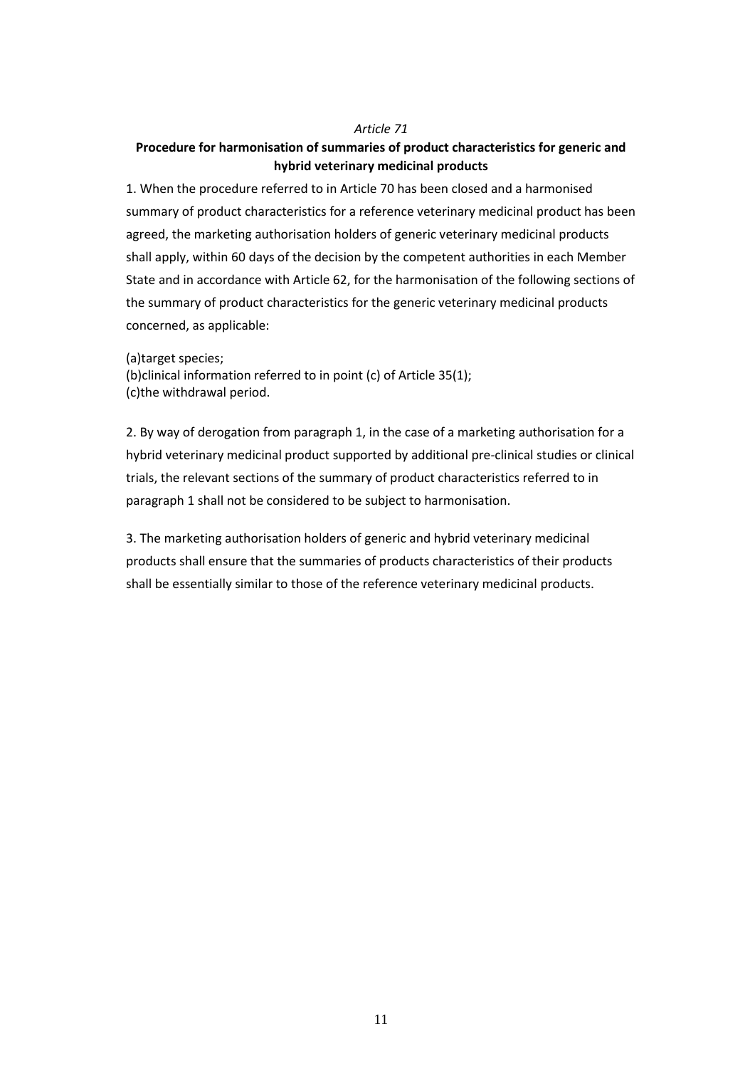#### *Article 71*

# **Procedure for harmonisation of summaries of product characteristics for generic and hybrid veterinary medicinal products**

1. When the procedure referred to in Article 70 has been closed and a harmonised summary of product characteristics for a reference veterinary medicinal product has been agreed, the marketing authorisation holders of generic veterinary medicinal products shall apply, within 60 days of the decision by the competent authorities in each Member State and in accordance with Article 62, for the harmonisation of the following sections of the summary of product characteristics for the generic veterinary medicinal products concerned, as applicable:

(a)target species;

(b)clinical information referred to in point (c) of Article 35(1); (c)the withdrawal period.

2. By way of derogation from paragraph 1, in the case of a marketing authorisation for a hybrid veterinary medicinal product supported by additional pre-clinical studies or clinical trials, the relevant sections of the summary of product characteristics referred to in paragraph 1 shall not be considered to be subject to harmonisation.

3. The marketing authorisation holders of generic and hybrid veterinary medicinal products shall ensure that the summaries of products characteristics of their products shall be essentially similar to those of the reference veterinary medicinal products.